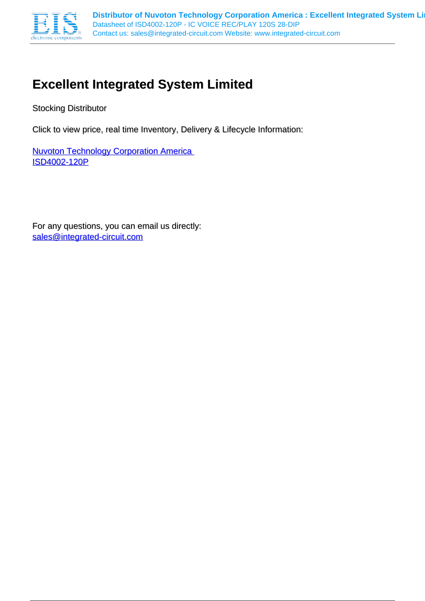

## **Excellent Integrated System Limited**

Stocking Distributor

Click to view price, real time Inventory, Delivery & Lifecycle Information:

**Nuvoton Technology Corporation America** [ISD4002-120P](http://www.integrated-circuit.com/tag/ISD4002-120P.html)

For any questions, you can email us directly: [sales@integrated-circuit.com](mailto:sales@integrated-circuit.com)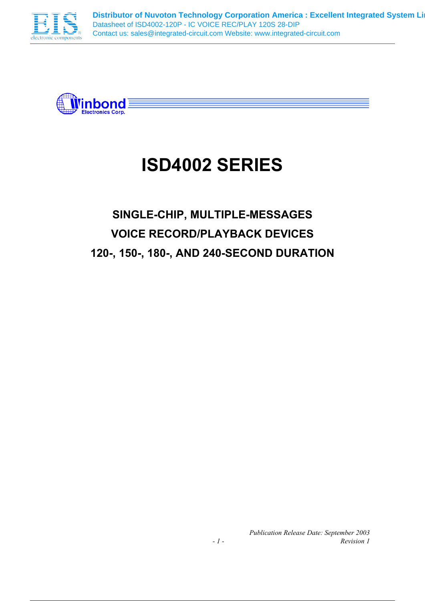



# **ISD4002 SERIES**

## **SINGLE-CHIP, MULTIPLE-MESSAGES VOICE RECORD/PLAYBACK DEVICES 120-, 150-, 180-, AND 240-SECOND DURATION**

*Publication Release Date: September 2003 - 1 - Revision 1*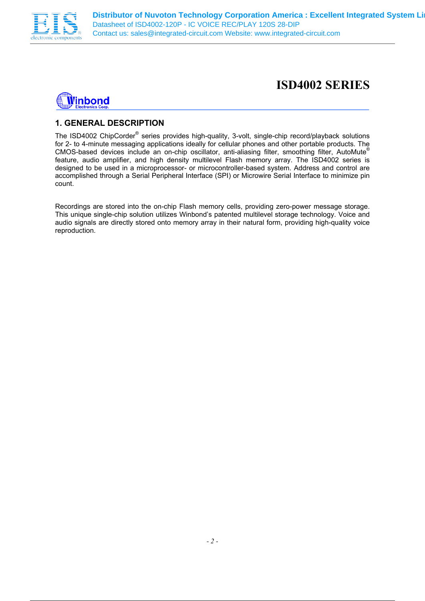



### **1. GENERAL DESCRIPTION**

The ISD4002 ChipCorder<sup>®</sup> series provides high-quality, 3-volt, single-chip record/playback solutions for 2- to 4-minute messaging applications ideally for cellular phones and other portable products. The CMOS-based devices include an on-chip oscillator, anti-aliasing filter, smoothing filter, AutoMute® feature, audio amplifier, and high density multilevel Flash memory array. The ISD4002 series is designed to be used in a microprocessor- or microcontroller-based system. Address and control are accomplished through a Serial Peripheral Interface (SPI) or Microwire Serial Interface to minimize pin count.

Recordings are stored into the on-chip Flash memory cells, providing zero-power message storage. This unique single-chip solution utilizes Winbond's patented multilevel storage technology. Voice and audio signals are directly stored onto memory array in their natural form, providing high-quality voice reproduction.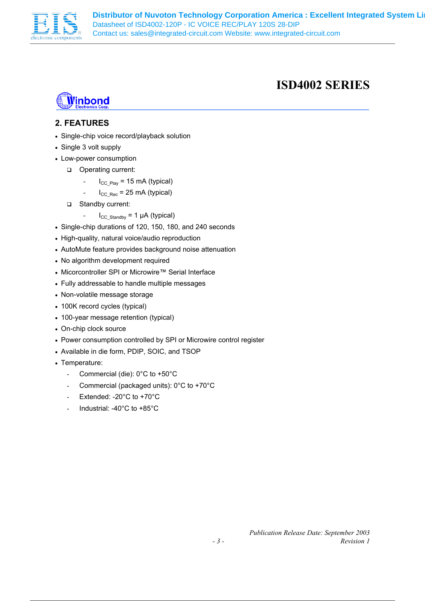



### **2. FEATURES**

- Single-chip voice record/playback solution
- Single 3 volt supply
- Low-power consumption
	- □ Operating current:
		- $I_{CC\text{Play}}$  = 15 mA (typical)
		- $I_{CC|Rec}$  = 25 mA (typical)
	- □ Standby current:
		- $I_{CC\_Standby} = 1 \mu A$  (typical)
- Single-chip durations of 120, 150, 180, and 240 seconds
- High-quality, natural voice/audio reproduction
- AutoMute feature provides background noise attenuation
- No algorithm development required
- Micorcontroller SPI or Microwire™ Serial Interface
- Fully addressable to handle multiple messages
- Non-volatile message storage
- 100K record cycles (typical)
- 100-year message retention (typical)
- On-chip clock source
- Power consumption controlled by SPI or Microwire control register
- Available in die form, PDIP, SOIC, and TSOP
- Temperature:
	- Commercial (die): 0°C to +50°C
	- Commercial (packaged units): 0°C to +70°C
	- Extended: -20°C to +70°C
	- Industrial: -40°C to +85°C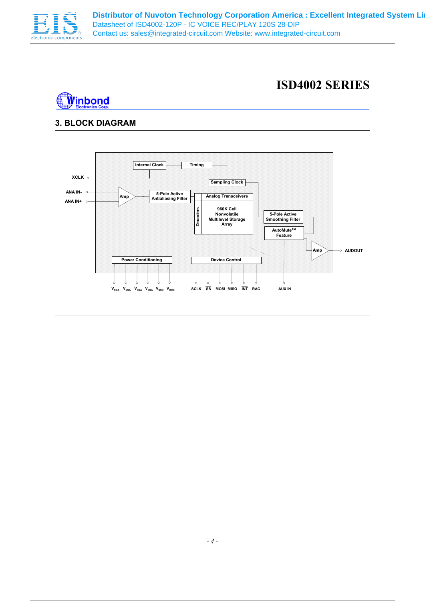

### **ISD4002 SERIES**



### **3. BLOCK DIAGRAM**

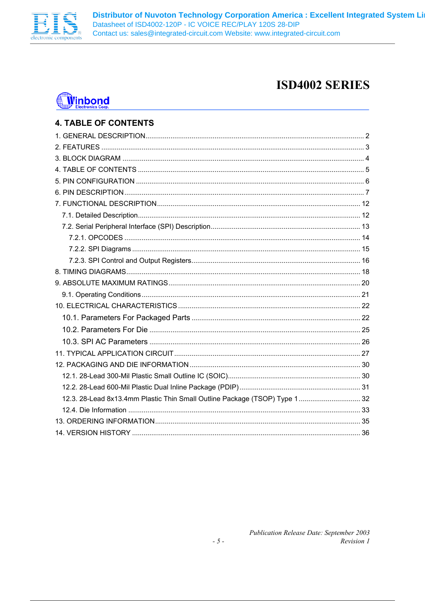

## **Winbond**

| <b>4. TABLE OF CONTENTS</b>                                                |  |
|----------------------------------------------------------------------------|--|
|                                                                            |  |
|                                                                            |  |
|                                                                            |  |
|                                                                            |  |
|                                                                            |  |
|                                                                            |  |
|                                                                            |  |
|                                                                            |  |
|                                                                            |  |
|                                                                            |  |
|                                                                            |  |
|                                                                            |  |
|                                                                            |  |
|                                                                            |  |
|                                                                            |  |
|                                                                            |  |
|                                                                            |  |
|                                                                            |  |
|                                                                            |  |
|                                                                            |  |
|                                                                            |  |
|                                                                            |  |
|                                                                            |  |
| 12.3. 28-Lead 8x13.4mm Plastic Thin Small Outline Package (TSOP) Type 1 32 |  |
|                                                                            |  |
|                                                                            |  |
|                                                                            |  |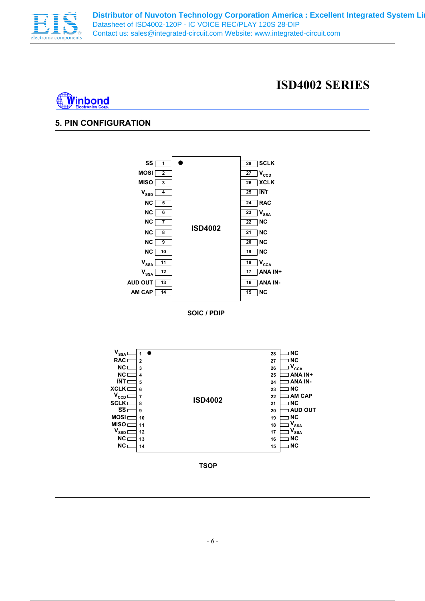

### **ISD4002 SERIES**



### **5. PIN CONFIGURATION**

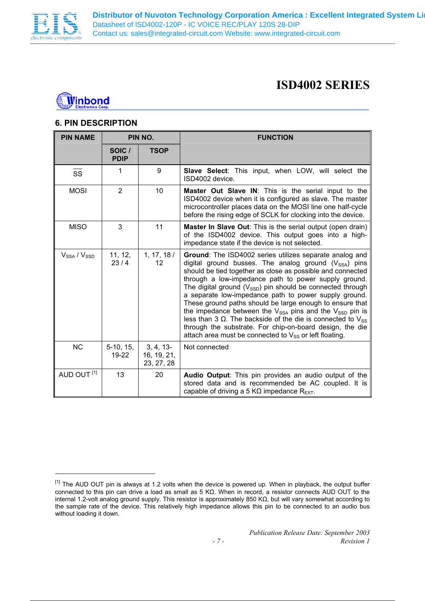

 $\overline{a}$ 

### **ISD4002 SERIES**



### **6. PIN DESCRIPTION**

| <b>PIN NAME</b>        | PIN NO.               |                                          | <b>FUNCTION</b>                                                                                                                                                                                                                                                                                                                                                                                                                                                                                                                                                                                                                                                                                      |  |
|------------------------|-----------------------|------------------------------------------|------------------------------------------------------------------------------------------------------------------------------------------------------------------------------------------------------------------------------------------------------------------------------------------------------------------------------------------------------------------------------------------------------------------------------------------------------------------------------------------------------------------------------------------------------------------------------------------------------------------------------------------------------------------------------------------------------|--|
|                        | SOIC /<br><b>PDIP</b> | <b>TSOP</b>                              |                                                                                                                                                                                                                                                                                                                                                                                                                                                                                                                                                                                                                                                                                                      |  |
| <b>SS</b>              | 1                     | 9                                        | Slave Select: This input, when LOW, will select the<br>ISD4002 device.                                                                                                                                                                                                                                                                                                                                                                                                                                                                                                                                                                                                                               |  |
| <b>MOSI</b>            | 2                     | 10                                       | Master Out Slave IN: This is the serial input to the<br>ISD4002 device when it is configured as slave. The master<br>microcontroller places data on the MOSI line one half-cycle<br>before the rising edge of SCLK for clocking into the device.                                                                                                                                                                                                                                                                                                                                                                                                                                                     |  |
| <b>MISO</b>            | 3                     | 11                                       | <b>Master In Slave Out:</b> This is the serial output (open drain)<br>of the ISD4002 device. This output goes into a high-<br>impedance state if the device is not selected.                                                                                                                                                                                                                                                                                                                                                                                                                                                                                                                         |  |
| $V_{SSA}$ / $V_{SSD}$  | 11, 12,<br>23/4       | 1, 17, 18/<br>12                         | Ground: The ISD4002 series utilizes separate analog and<br>digital ground busses. The analog ground $(V_{SSA})$ pins<br>should be tied together as close as possible and connected<br>through a low-impedance path to power supply ground.<br>The digital ground $(V_{SSD})$ pin should be connected through<br>a separate low-impedance path to power supply ground.<br>These ground paths should be large enough to ensure that<br>the impedance between the $V_{SSA}$ pins and the $V_{SSD}$ pin is<br>less than 3 Ω. The backside of the die is connected to $V_{SS}$<br>through the substrate. For chip-on-board design, the die<br>attach area must be connected to $V_{SS}$ or left floating. |  |
| <b>NC</b>              | $5-10, 15,$<br>19-22  | $3, 4, 13-$<br>16, 19, 21,<br>23, 27, 28 | Not connected                                                                                                                                                                                                                                                                                                                                                                                                                                                                                                                                                                                                                                                                                        |  |
| AUD OUT <sup>[1]</sup> | 13                    | 20                                       | <b>Audio Output:</b> This pin provides an audio output of the<br>stored data and is recommended be AC coupled. It is<br>capable of driving a 5 KQ impedance $R_{\text{EXT}}$ .                                                                                                                                                                                                                                                                                                                                                                                                                                                                                                                       |  |

<sup>&</sup>lt;sup>[1]</sup> The AUD OUT pin is always at 1.2 volts when the device is powered up. When in playback, the output buffer connected to this pin can drive a load as small as 5 KΩ. When in record, a resistor connects AUD OUT to the internal 1.2-volt analog ground supply. This resistor is approximately 850 KΩ, but will vary somewhat according to the sample rate of the device. This relatively high impedance allows this pin to be connected to an audio bus without loading it down.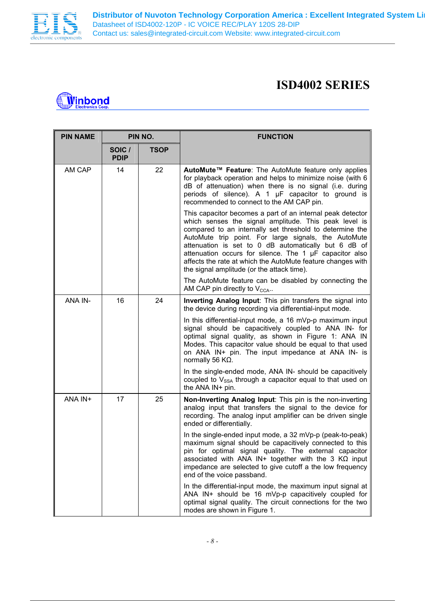

## **T**inbond

| <b>PIN NAME</b> | PIN NO.               |             | <b>FUNCTION</b>                                                                                                                                                                                                                                                                                                                                                                                                                                                         |
|-----------------|-----------------------|-------------|-------------------------------------------------------------------------------------------------------------------------------------------------------------------------------------------------------------------------------------------------------------------------------------------------------------------------------------------------------------------------------------------------------------------------------------------------------------------------|
|                 | SOIC /<br><b>PDIP</b> | <b>TSOP</b> |                                                                                                                                                                                                                                                                                                                                                                                                                                                                         |
| AM CAP          | 14                    | 22          | AutoMute™ Feature: The AutoMute feature only applies<br>for playback operation and helps to minimize noise (with 6<br>dB of attenuation) when there is no signal (i.e. during<br>periods of silence). A 1 µF capacitor to ground is<br>recommended to connect to the AM CAP pin.                                                                                                                                                                                        |
|                 |                       |             | This capacitor becomes a part of an internal peak detector<br>which senses the signal amplitude. This peak level is<br>compared to an internally set threshold to determine the<br>AutoMute trip point. For large signals, the AutoMute<br>attenuation is set to 0 dB automatically but 6 dB of<br>attenuation occurs for silence. The 1 µF capacitor also<br>affects the rate at which the AutoMute feature changes with<br>the signal amplitude (or the attack time). |
|                 |                       |             | The AutoMute feature can be disabled by connecting the<br>AM CAP pin directly to $V_{\text{CCA}}$ .                                                                                                                                                                                                                                                                                                                                                                     |
| ANA IN-         | 16                    | 24          | Inverting Analog Input: This pin transfers the signal into<br>the device during recording via differential-input mode.                                                                                                                                                                                                                                                                                                                                                  |
|                 |                       |             | In this differential-input mode, a 16 mVp-p maximum input<br>signal should be capacitively coupled to ANA IN- for<br>optimal signal quality, as shown in Figure 1: ANA IN<br>Modes. This capacitor value should be equal to that used<br>on ANA IN+ pin. The input impedance at ANA IN- is<br>normally 56 $K\Omega$ .                                                                                                                                                   |
|                 |                       |             | In the single-ended mode, ANA IN- should be capacitively<br>coupled to $V_{SSA}$ through a capacitor equal to that used on<br>the ANA IN+ pin.                                                                                                                                                                                                                                                                                                                          |
| ANA IN+         | 17                    | 25          | Non-Inverting Analog Input: This pin is the non-inverting<br>analog input that transfers the signal to the device for<br>recording. The analog input amplifier can be driven single<br>ended or differentially.                                                                                                                                                                                                                                                         |
|                 |                       |             | In the single-ended input mode, a $32 \text{ mVp-p}$ (peak-to-peak)<br>maximum signal should be capacitively connected to this<br>pin for optimal signal quality. The external capacitor<br>associated with ANA IN+ together with the 3 $K\Omega$ input<br>impedance are selected to give cutoff a the low frequency<br>end of the voice passband.                                                                                                                      |
|                 |                       |             | In the differential-input mode, the maximum input signal at<br>ANA IN+ should be 16 mVp-p capacitively coupled for<br>optimal signal quality. The circuit connections for the two<br>modes are shown in Figure 1.                                                                                                                                                                                                                                                       |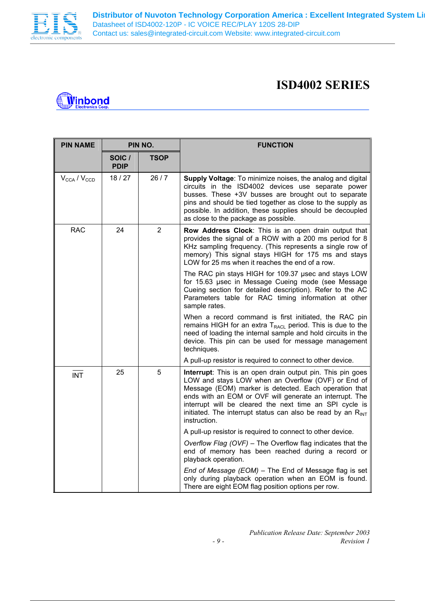

| ⊾ Winbonơ        |
|------------------|
| lectronics Corp. |
|                  |

| <b>PIN NAME</b>                     | PIN NO.               |                | <b>FUNCTION</b>                                                                                                                                                                                                                                                                                                                                                                            |
|-------------------------------------|-----------------------|----------------|--------------------------------------------------------------------------------------------------------------------------------------------------------------------------------------------------------------------------------------------------------------------------------------------------------------------------------------------------------------------------------------------|
|                                     | SOIC /<br><b>PDIP</b> | <b>TSOP</b>    |                                                                                                                                                                                                                                                                                                                                                                                            |
| $V_{\text{CCA}}$ / $V_{\text{CCD}}$ | 18/27                 | 26/7           | Supply Voltage: To minimize noises, the analog and digital<br>circuits in the ISD4002 devices use separate power<br>busses. These +3V busses are brought out to separate<br>pins and should be tied together as close to the supply as<br>possible. In addition, these supplies should be decoupled<br>as close to the package as possible.                                                |
| <b>RAC</b>                          | 24                    | $\overline{2}$ | Row Address Clock: This is an open drain output that<br>provides the signal of a ROW with a 200 ms period for 8<br>KHz sampling frequency. (This represents a single row of<br>memory) This signal stays HIGH for 175 ms and stays<br>LOW for 25 ms when it reaches the end of a row.                                                                                                      |
|                                     |                       |                | The RAC pin stays HIGH for 109.37 usec and stays LOW<br>for 15.63 usec in Message Cueing mode (see Message<br>Cueing section for detailed description). Refer to the AC<br>Parameters table for RAC timing information at other<br>sample rates.                                                                                                                                           |
|                                     |                       |                | When a record command is first initiated, the RAC pin<br>remains HIGH for an extra $T_{RACL}$ period. This is due to the<br>need of loading the internal sample and hold circuits in the<br>device. This pin can be used for message management<br>techniques.                                                                                                                             |
|                                     |                       |                | A pull-up resistor is required to connect to other device.                                                                                                                                                                                                                                                                                                                                 |
| <b>INT</b>                          | 25                    | 5              | <b>Interrupt:</b> This is an open drain output pin. This pin goes<br>LOW and stays LOW when an Overflow (OVF) or End of<br>Message (EOM) marker is detected. Each operation that<br>ends with an EOM or OVF will generate an interrupt. The<br>interrupt will be cleared the next time an SPI cycle is<br>initiated. The interrupt status can also be read by an $R_{INT}$<br>instruction. |
|                                     |                       |                | A pull-up resistor is required to connect to other device.                                                                                                                                                                                                                                                                                                                                 |
|                                     |                       |                | Overflow Flag (OVF) - The Overflow flag indicates that the<br>end of memory has been reached during a record or<br>playback operation.                                                                                                                                                                                                                                                     |
|                                     |                       |                | End of Message (EOM) - The End of Message flag is set<br>only during playback operation when an EOM is found.<br>There are eight EOM flag position options per row.                                                                                                                                                                                                                        |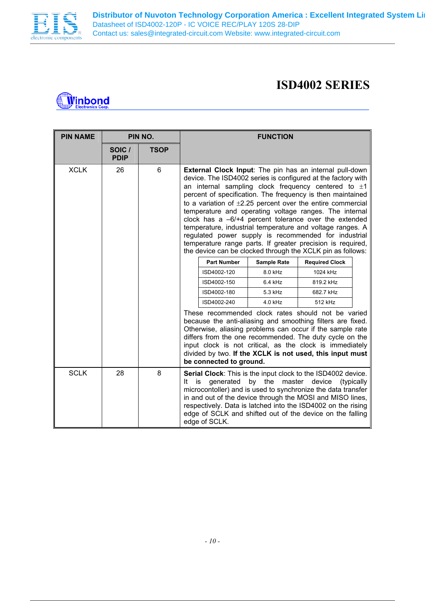

### **ISD4002 SERIES**

## **Winbond**

| <b>PIN NAME</b> |                       | PIN NO.     | <b>FUNCTION</b>                                                                                                                                                                                                                                                                                                                                                                                                       |                    |                    |                                                                                                                                                                                                                                                                                                                                                                                                                                                                                                                                                                                                                                                                                            |  |
|-----------------|-----------------------|-------------|-----------------------------------------------------------------------------------------------------------------------------------------------------------------------------------------------------------------------------------------------------------------------------------------------------------------------------------------------------------------------------------------------------------------------|--------------------|--------------------|--------------------------------------------------------------------------------------------------------------------------------------------------------------------------------------------------------------------------------------------------------------------------------------------------------------------------------------------------------------------------------------------------------------------------------------------------------------------------------------------------------------------------------------------------------------------------------------------------------------------------------------------------------------------------------------------|--|
|                 | SOIC /<br><b>PDIP</b> | <b>TSOP</b> |                                                                                                                                                                                                                                                                                                                                                                                                                       |                    |                    |                                                                                                                                                                                                                                                                                                                                                                                                                                                                                                                                                                                                                                                                                            |  |
| <b>XCLK</b>     | 26                    | 6           |                                                                                                                                                                                                                                                                                                                                                                                                                       |                    |                    | External Clock Input: The pin has an internal pull-down<br>device. The ISD4002 series is configured at the factory with<br>an internal sampling clock frequency centered to $\pm 1$<br>percent of specification. The frequency is then maintained<br>to a variation of $\pm 2.25$ percent over the entire commercial<br>temperature and operating voltage ranges. The internal<br>clock has a $-6/+4$ percent tolerance over the extended<br>temperature, industrial temperature and voltage ranges. A<br>regulated power supply is recommended for industrial<br>temperature range parts. If greater precision is required,<br>the device can be clocked through the XCLK pin as follows: |  |
|                 |                       |             |                                                                                                                                                                                                                                                                                                                                                                                                                       | <b>Part Number</b> | <b>Sample Rate</b> | <b>Required Clock</b>                                                                                                                                                                                                                                                                                                                                                                                                                                                                                                                                                                                                                                                                      |  |
|                 |                       |             |                                                                                                                                                                                                                                                                                                                                                                                                                       | ISD4002-120        | 8.0 kHz            | 1024 kHz                                                                                                                                                                                                                                                                                                                                                                                                                                                                                                                                                                                                                                                                                   |  |
|                 |                       |             |                                                                                                                                                                                                                                                                                                                                                                                                                       | ISD4002-150        | 6.4 kHz            | 819.2 kHz                                                                                                                                                                                                                                                                                                                                                                                                                                                                                                                                                                                                                                                                                  |  |
|                 |                       |             |                                                                                                                                                                                                                                                                                                                                                                                                                       | ISD4002-180        | 5.3 kHz            | 682.7 kHz                                                                                                                                                                                                                                                                                                                                                                                                                                                                                                                                                                                                                                                                                  |  |
|                 |                       |             | ISD4002-240<br>4.0 kHz<br>512 kHz                                                                                                                                                                                                                                                                                                                                                                                     |                    |                    |                                                                                                                                                                                                                                                                                                                                                                                                                                                                                                                                                                                                                                                                                            |  |
|                 |                       |             | These recommended clock rates should not be varied<br>because the anti-aliasing and smoothing filters are fixed.<br>Otherwise, aliasing problems can occur if the sample rate<br>differs from the one recommended. The duty cycle on the<br>input clock is not critical, as the clock is immediately<br>divided by two. If the XCLK is not used, this input must<br>be connected to ground.                           |                    |                    |                                                                                                                                                                                                                                                                                                                                                                                                                                                                                                                                                                                                                                                                                            |  |
| <b>SCLK</b>     | 28                    | 8           | <b>Serial Clock:</b> This is the input clock to the ISD4002 device.<br>generated<br>by the<br>master<br>device<br>is<br>(typically)<br>lt.<br>microcontoller) and is used to synchronize the data transfer<br>in and out of the device through the MOSI and MISO lines,<br>respectively. Data is latched into the ISD4002 on the rising<br>edge of SCLK and shifted out of the device on the falling<br>edge of SCLK. |                    |                    |                                                                                                                                                                                                                                                                                                                                                                                                                                                                                                                                                                                                                                                                                            |  |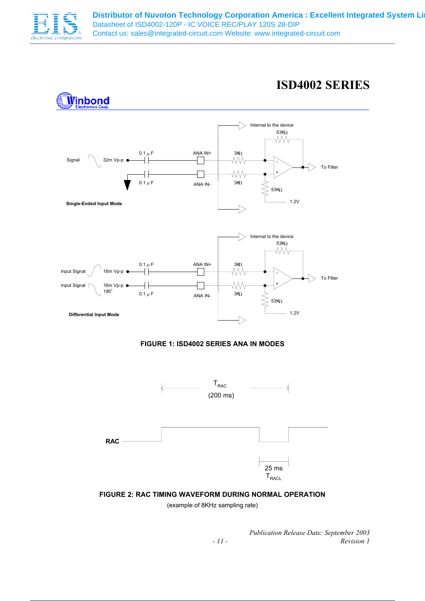

### **ISD4002 SERIES**



(example of 8KHz sampling rate)

*Publication Release Date: September 2003 - 11 - Revision 1*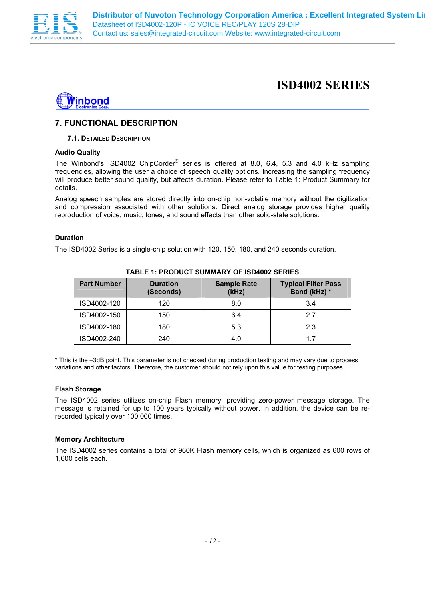



### **7. FUNCTIONAL DESCRIPTION**

#### **7.1. DETAILED DESCRIPTION**

#### **Audio Quality**

The Winbond's ISD4002 ChipCorder<sup>®</sup> series is offered at 8.0, 6.4, 5.3 and 4.0 kHz sampling frequencies, allowing the user a choice of speech quality options. Increasing the sampling frequency will produce better sound quality, but affects duration. Please refer to Table 1: Product Summary for details.

Analog speech samples are stored directly into on-chip non-volatile memory without the digitization and compression associated with other solutions. Direct analog storage provides higher quality reproduction of voice, music, tones, and sound effects than other solid-state solutions.

#### **Duration**

The ISD4002 Series is a single-chip solution with 120, 150, 180, and 240 seconds duration.

| <b>Part Number</b> | <b>Duration</b><br>(Seconds) | <b>Sample Rate</b><br>(kHz) | <b>Typical Filter Pass</b><br>Band (kHz) * |
|--------------------|------------------------------|-----------------------------|--------------------------------------------|
| ISD4002-120        | 120                          | 8.0                         | 3.4                                        |
| ISD4002-150        | 150                          | 6.4                         | 2.7                                        |
| ISD4002-180        | 180                          | 5.3                         | 2.3                                        |
| ISD4002-240        | 240                          | 4.0                         | 17                                         |

**TABLE 1: PRODUCT SUMMARY OF ISD4002 SERIES** 

\* This is the –3dB point. This parameter is not checked during production testing and may vary due to process variations and other factors. Therefore, the customer should not rely upon this value for testing purposes.

#### **Flash Storage**

The ISD4002 series utilizes on-chip Flash memory, providing zero-power message storage. The message is retained for up to 100 years typically without power. In addition, the device can be rerecorded typically over 100,000 times.

#### **Memory Architecture**

The ISD4002 series contains a total of 960K Flash memory cells, which is organized as 600 rows of 1,600 cells each.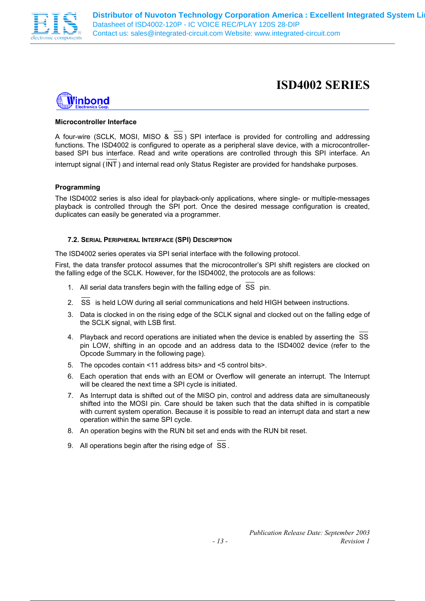



#### **Microcontroller Interface**

A four-wire (SCLK, MOSI, MISO & SS ) SPI interface is provided for controlling and addressing functions. The ISD4002 is configured to operate as a peripheral slave device, with a microcontrollerbased SPI bus interface. Read and write operations are controlled through this SPI interface. An interrupt signal (INT ) and internal read only Status Register are provided for handshake purposes.

#### **Programming**

The ISD4002 series is also ideal for playback-only applications, where single- or multiple-messages playback is controlled through the SPI port. Once the desired message configuration is created, duplicates can easily be generated via a programmer.

#### **7.2. SERIAL PERIPHERAL INTERFACE (SPI) DESCRIPTION**

The ISD4002 series operates via SPI serial interface with the following protocol.

First, the data transfer protocol assumes that the microcontroller's SPI shift registers are clocked on the falling edge of the SCLK. However, for the ISD4002, the protocols are as follows:

- 1. All serial data transfers begin with the falling edge of SS pin.
- 2. SS is held LOW during all serial communications and held HIGH between instructions.
- 3. Data is clocked in on the rising edge of the SCLK signal and clocked out on the falling edge of the SCLK signal, with LSB first.
- 4. Playback and record operations are initiated when the device is enabled by asserting the SS pin LOW, shifting in an opcode and an address data to the ISD4002 device (refer to the Opcode Summary in the following page).
- 5. The opcodes contain <11 address bits> and <5 control bits>.
- 6. Each operation that ends with an EOM or Overflow will generate an interrupt. The Interrupt will be cleared the next time a SPI cycle is initiated.
- 7. As Interrupt data is shifted out of the MISO pin, control and address data are simultaneously shifted into the MOSI pin. Care should be taken such that the data shifted in is compatible with current system operation. Because it is possible to read an interrupt data and start a new operation within the same SPI cycle.
- 8. An operation begins with the RUN bit set and ends with the RUN bit reset.
- 9. All operations begin after the rising edge of SS .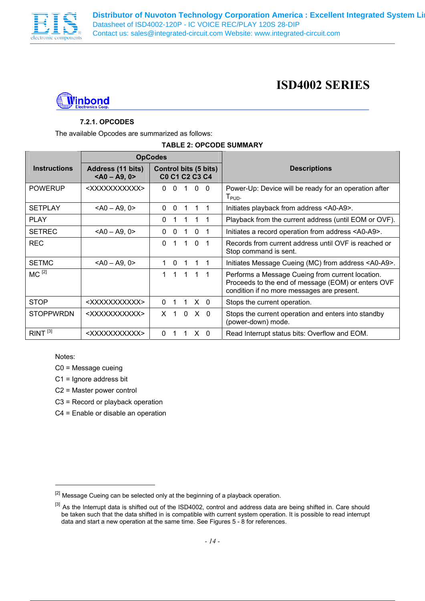



### **7.2.1. OPCODES**

The available Opcodes are summarized as follows:

#### **TABLE 2: OPCODE SUMMARY**

|                     | <b>OpCodes</b>                       |                                                                                                            |                                                                                                                                                      |
|---------------------|--------------------------------------|------------------------------------------------------------------------------------------------------------|------------------------------------------------------------------------------------------------------------------------------------------------------|
| <b>Instructions</b> | Address (11 bits)<br>$<$ A0 - A9, 0> | <b>Control bits (5 bits)</b><br>C <sub>0</sub> C <sub>1</sub> C <sub>2</sub> C <sub>3</sub> C <sub>4</sub> | <b>Descriptions</b>                                                                                                                                  |
| <b>POWERUP</b>      | <xxxxxxxxxxx></xxxxxxxxxxx>          | $\Omega$<br>0<br>0<br>- 0                                                                                  | Power-Up: Device will be ready for an operation after<br>$T_{\sf PUD}$ .                                                                             |
| <b>SETPLAY</b>      | $<$ A0 $-$ A9, 0 $>$                 | $\Omega$<br>0                                                                                              | Initiates playback from address <a0-a9>.</a0-a9>                                                                                                     |
| <b>PLAY</b>         |                                      | $\Omega$                                                                                                   | Playback from the current address (until EOM or OVF).                                                                                                |
| <b>SETREC</b>       | $<$ A0 - A9, 0>                      | $\Omega$<br>$\mathbf{0}$<br>0                                                                              | Initiates a record operation from address <a0-a9>.</a0-a9>                                                                                           |
| <b>REC</b>          |                                      | $\Omega$<br>$\Omega$<br>1<br>1                                                                             | Records from current address until OVF is reached or<br>Stop command is sent.                                                                        |
| <b>SETMC</b>        | $<$ A0 $-$ A9, 0 $>$                 | $\Omega$<br>-1                                                                                             | Initiates Message Cueing (MC) from address <a0-a9>.</a0-a9>                                                                                          |
| $MC^{[2]}$          |                                      | $\mathbf 1$<br>1 1 1 1                                                                                     | Performs a Message Cueing from current location.<br>Proceeds to the end of message (EOM) or enters OVF<br>condition if no more messages are present. |
| <b>STOP</b>         | <xxxxxxxxxxx></xxxxxxxxxxx>          | $X \quad 0$<br>$\Omega$<br>1<br>-1                                                                         | Stops the current operation.                                                                                                                         |
| <b>STOPPWRDN</b>    | <xxxxxxxxxxx></xxxxxxxxxxx>          | $X \neq 1$<br>X <sub>0</sub><br>$\Omega$                                                                   | Stops the current operation and enters into standby<br>(power-down) mode.                                                                            |
| RINT <sup>[3]</sup> | <xxxxxxxxxxx></xxxxxxxxxxx>          | $\Omega$<br>$X \cap$                                                                                       | Read Interrupt status bits: Overflow and EOM.                                                                                                        |

Notes:

 $\overline{a}$ 

C0 = Message cueing

C1 = Ignore address bit

C2 = Master power control

C3 = Record or playback operation

C4 = Enable or disable an operation

<sup>&</sup>lt;sup>[2]</sup> Message Cueing can be selected only at the beginning of a playback operation.

<sup>&</sup>lt;sup>[3]</sup> As the Interrupt data is shifted out of the ISD4002, control and address data are being shifted in. Care should be taken such that the data shifted in is compatible with current system operation. It is possible to read interrupt data and start a new operation at the same time. See Figures 5 - 8 for references.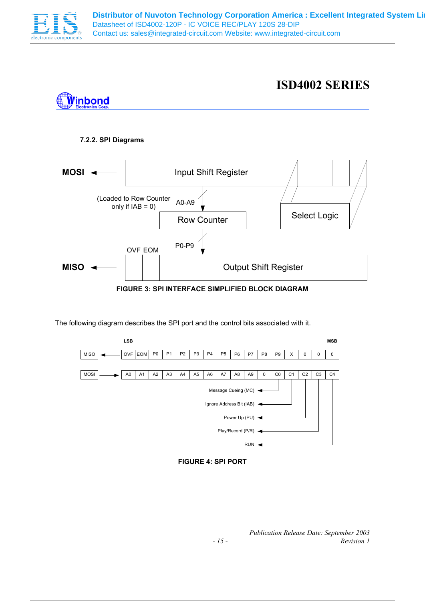

### **ISD4002 SERIES**



#### **7.2.2. SPI Diagrams**



**FIGURE 3: SPI INTERFACE SIMPLIFIED BLOCK DIAGRAM** 

The following diagram describes the SPI port and the control bits associated with it.





*Publication Release Date: September 2003 - 15 - Revision 1*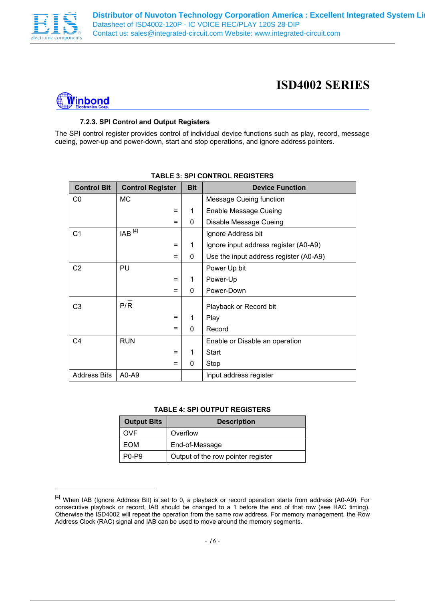

 $\overline{a}$ 

### **ISD4002 SERIES**



### **7.2.3. SPI Control and Output Registers**

The SPI control register provides control of individual device functions such as play, record, message cueing, power-up and power-down, start and stop operations, and ignore address pointers.

| <b>Control Bit</b>  | <b>Control Register</b> | <b>Bit</b> | <b>Device Function</b>                 |  |
|---------------------|-------------------------|------------|----------------------------------------|--|
| CO                  | <b>MC</b>               |            | <b>Message Cueing function</b>         |  |
|                     | =                       | 1          | Enable Message Cueing                  |  |
|                     | =                       | 0          | Disable Message Cueing                 |  |
| C <sub>1</sub>      | $IAB$ <sup>[4]</sup>    |            | Ignore Address bit                     |  |
|                     | =                       | 1          | Ignore input address register (A0-A9)  |  |
|                     | =                       | 0          | Use the input address register (A0-A9) |  |
| C <sub>2</sub>      | PU                      |            | Power Up bit                           |  |
|                     | =                       | 1          | Power-Up                               |  |
|                     | =                       | 0          | Power-Down                             |  |
| C <sub>3</sub>      | P/R                     |            | Playback or Record bit                 |  |
|                     | =                       | 1          | Play                                   |  |
|                     | =                       | 0          | Record                                 |  |
| C <sub>4</sub>      | <b>RUN</b>              |            | Enable or Disable an operation         |  |
|                     | =                       | 1          | Start                                  |  |
|                     | =                       | 0          | Stop                                   |  |
| <b>Address Bits</b> | A0-A9                   |            | Input address register                 |  |

### **TABLE 3: SPI CONTROL REGISTERS**

#### **TABLE 4: SPI OUTPUT REGISTERS**

| <b>Output Bits</b> | <b>Description</b>                 |
|--------------------|------------------------------------|
| <b>OVF</b>         | Overflow                           |
| EOM                | End-of-Message                     |
| $P0-P9$            | Output of the row pointer register |

<sup>&</sup>lt;sup>[4]</sup> When IAB (Ignore Address Bit) is set to 0, a playback or record operation starts from address (A0-A9). For consecutive playback or record, IAB should be changed to a 1 before the end of that row (see RAC timing). Otherwise the ISD4002 will repeat the operation from the same row address. For memory management, the Row Address Clock (RAC) signal and IAB can be used to move around the memory segments.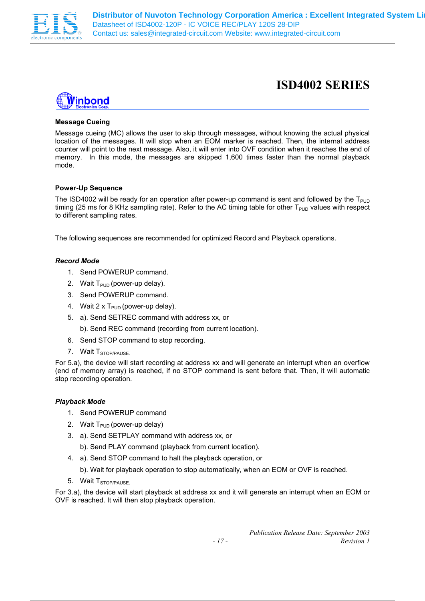



#### **Message Cueing**

Message cueing (MC) allows the user to skip through messages, without knowing the actual physical location of the messages. It will stop when an EOM marker is reached. Then, the internal address counter will point to the next message. Also, it will enter into OVF condition when it reaches the end of memory. In this mode, the messages are skipped 1,600 times faster than the normal playback mode.

#### **Power-Up Sequence**

The ISD4002 will be ready for an operation after power-up command is sent and followed by the  $T_{PUD}$ timing (25 ms for 8 KHz sampling rate). Refer to the AC timing table for other  $T_{PUD}$  values with respect to different sampling rates.

The following sequences are recommended for optimized Record and Playback operations.

#### *Record Mode*

- 1. Send POWERUP command.
- 2. Wait  $T_{\text{PID}}$  (power-up delay).
- 3. Send POWERUP command.
- 4. Wait 2 x  $T_{PUD}$  (power-up delay).
- 5. a). Send SETREC command with address xx, or
	- b). Send REC command (recording from current location).
- 6. Send STOP command to stop recording.
- 7. Wait T<sub>STOP/PAUSE</sub>

For 5.a), the device will start recording at address xx and will generate an interrupt when an overflow (end of memory array) is reached, if no STOP command is sent before that. Then, it will automatic stop recording operation.

#### *Playback Mode*

- 1. Send POWERUP command
- 2. Wait  $T_{\text{PID}}$  (power-up delay)
- 3. a). Send SETPLAY command with address xx, or
	- b). Send PLAY command (playback from current location).
- 4. a). Send STOP command to halt the playback operation, or
	- b). Wait for playback operation to stop automatically, when an EOM or OVF is reached.
- 5. Wait T<sub>STOP/PAUSE.</sub>

For 3.a), the device will start playback at address xx and it will generate an interrupt when an EOM or OVF is reached. It will then stop playback operation.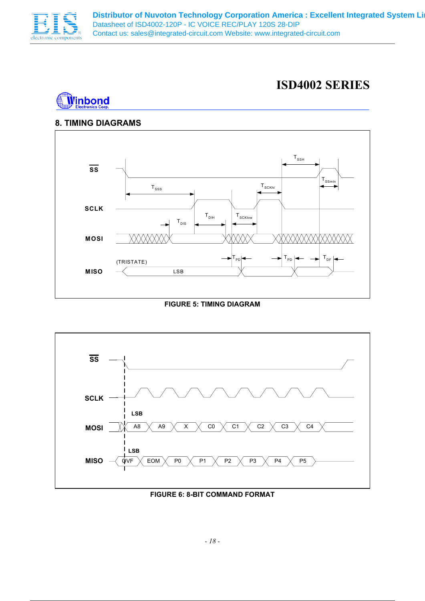

### **ISD4002 SERIES**



### **8. TIMING DIAGRAMS**



**FIGURE 5: TIMING DIAGRAM** 



**FIGURE 6: 8-BIT COMMAND FORMAT**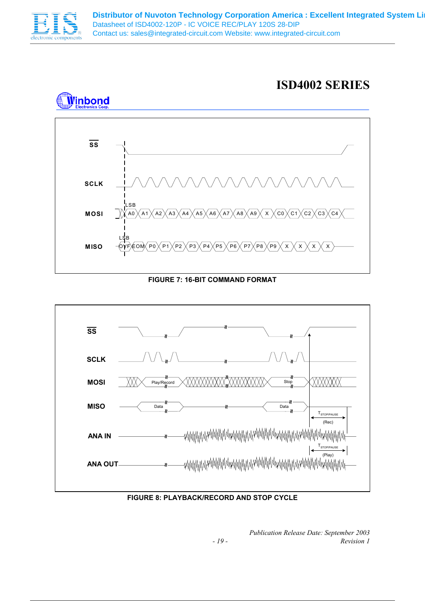

### **ISD4002 SERIES**



### **FIGURE 7: 16-BIT COMMAND FORMAT**



### **FIGURE 8: PLAYBACK/RECORD AND STOP CYCLE**

*Publication Release Date: September 2003 - 19 - Revision 1*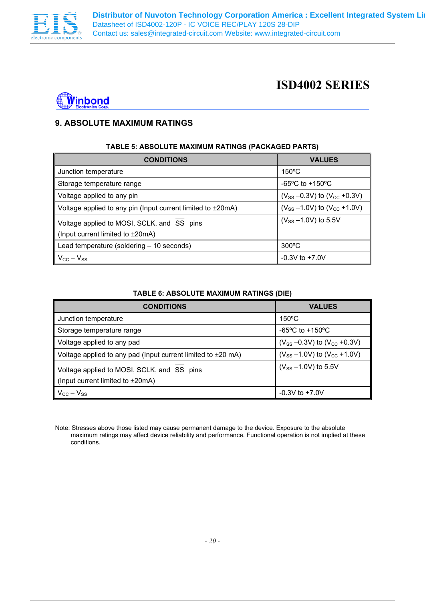



### **9. ABSOLUTE MAXIMUM RATINGS**

#### **TABLE 5: ABSOLUTE MAXIMUM RATINGS (PACKAGED PARTS)**

| <b>CONDITIONS</b>                                                                            | <b>VALUES</b>                          |
|----------------------------------------------------------------------------------------------|----------------------------------------|
| Junction temperature                                                                         | $150^{\circ}$ C                        |
| Storage temperature range                                                                    | $-65^{\circ}$ C to $+150^{\circ}$ C    |
| Voltage applied to any pin                                                                   | $(V_{SS} - 0.3V)$ to $(V_{CC} + 0.3V)$ |
| Voltage applied to any pin (Input current limited to $\pm 20$ mA)                            | $(V_{SS} - 1.0V)$ to $(V_{CC} + 1.0V)$ |
| Voltage applied to MOSI, SCLK, and SS pins<br>(Input current limited to $\pm 20 \text{mA}$ ) | $(V_{SS} - 1.0 V)$ to 5.5V             |
| Lead temperature (soldering - 10 seconds)                                                    | $300^{\circ}$ C                        |
| $V_{\rm CC} - V_{\rm SS}$                                                                    | $-0.3V$ to $+7.0V$                     |

#### **TABLE 6: ABSOLUTE MAXIMUM RATINGS (DIE)**

| <b>CONDITIONS</b>                                                                            | <b>VALUES</b>                          |
|----------------------------------------------------------------------------------------------|----------------------------------------|
| Junction temperature                                                                         | $150^{\circ}$ C                        |
| Storage temperature range                                                                    | $-65^{\circ}$ C to $+150^{\circ}$ C    |
| Voltage applied to any pad                                                                   | $(V_{SS} - 0.3V)$ to $(V_{CC} + 0.3V)$ |
| Voltage applied to any pad (Input current limited to $\pm 20$ mA)                            | $(V_{SS} - 1.0V)$ to $(V_{CC} + 1.0V)$ |
| Voltage applied to MOSI, SCLK, and SS pins<br>(Input current limited to $\pm 20 \text{mA}$ ) | $(V_{SS} - 1.0 V)$ to 5.5V             |
| $V_{\rm CC} - V_{\rm SS}$                                                                    | $-0.3V$ to $+7.0V$                     |

Note: Stresses above those listed may cause permanent damage to the device. Exposure to the absolute maximum ratings may affect device reliability and performance. Functional operation is not implied at these conditions.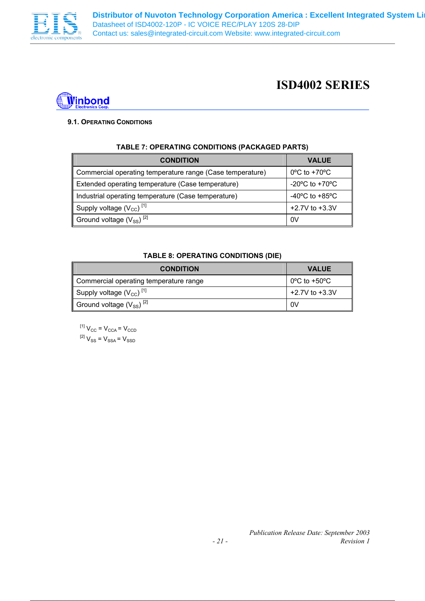



### **9.1. OPERATING CONDITIONS**

| TABLE 7: OPERATING CONDITIONS (PACKAGED PARTS)            |                                    |  |  |  |  |  |
|-----------------------------------------------------------|------------------------------------|--|--|--|--|--|
| <b>CONDITION</b>                                          | <b>VALUE</b>                       |  |  |  |  |  |
| Commercial operating temperature range (Case temperature) | $0^{\circ}$ C to +70 $^{\circ}$ C  |  |  |  |  |  |
| Extended operating temperature (Case temperature)         | $-20^{\circ}$ C to $+70^{\circ}$ C |  |  |  |  |  |
| Industrial operating temperature (Case temperature)       | $-40^{\circ}$ C to $+85^{\circ}$ C |  |  |  |  |  |
| Supply voltage $(V_{CC})$ <sup>[1]</sup>                  | $+2.7V$ to $+3.3V$                 |  |  |  |  |  |
| Ground voltage $(V_{SS})^{[2]}$                           | 0V                                 |  |  |  |  |  |

### **TABLE 7: OPERATING CONDITIONS (PACKAGED PARTS)**

#### **TABLE 8: OPERATING CONDITIONS (DIE)**

| <b>CONDITION</b>                         | <b>VALUE</b>                                 |
|------------------------------------------|----------------------------------------------|
| Commercial operating temperature range   | $\overline{0}^{\circ}$ C to +50 $^{\circ}$ C |
| Supply voltage $(V_{CC})$ <sup>[1]</sup> | $+2.7V$ to $+3.3V$                           |
| Ground voltage $(V_{SS})^{[2]}$          | 0V                                           |

 $^{[1]}$   $\rm V_{CC}$  =  $\rm V_{CCA}$  =  $\rm V_{CCD}$  ${}^{[2]}V_{\rm SS} = V_{\rm SSA}$   $=$   $V_{\rm SSD}$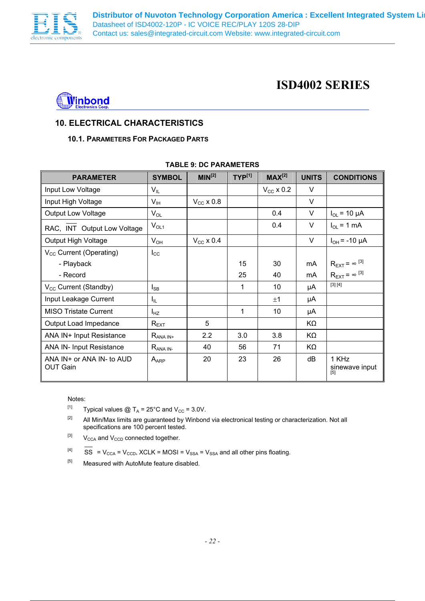



### **10. ELECTRICAL CHARACTERISTICS**

### **10.1. PARAMETERS FOR PACKAGED PARTS**

| <b>PARAMETER</b>                             | <b>SYMBOL</b>    | MIN <sup>[2]</sup> | $TYP^{[1]}$  | $MAX^{[2]}$        | <b>UNITS</b> | <b>CONDITIONS</b>              |
|----------------------------------------------|------------------|--------------------|--------------|--------------------|--------------|--------------------------------|
| Input Low Voltage                            | $V_{IL}$         |                    |              | $V_{\rm CC}$ x 0.2 | v            |                                |
| Input High Voltage                           | $V_{\text{IH}}$  | $V_{CC}$ x 0.8     |              |                    | V            |                                |
| <b>Output Low Voltage</b>                    | $V_{OL}$         |                    |              | 0.4                | V            | $I_{OL}$ = 10 µA               |
| RAC, INT Output Low Voltage                  | $V_{OL1}$        |                    |              | 0.4                | $\vee$       | $I_{OL}$ = 1 mA                |
| Output High Voltage                          | $V_{OH}$         | $V_{CC}$ x 0.4     |              |                    | V            | $I_{OH}$ = -10 µA              |
| V <sub>cc</sub> Current (Operating)          | $I_{\rm CC}$     |                    |              |                    |              |                                |
| - Playback                                   |                  |                    | 15           | 30                 | mA           | $R_{\text{EXT}} = \infty$ [3]  |
| - Record                                     |                  |                    | 25           | 40                 | mA           | $R_{\text{EXT}} = \infty$ [3]  |
| V <sub>CC</sub> Current (Standby)            | $I_{SB}$         |                    | 1            | 10                 | μA           | [3] [4]                        |
| Input Leakage Current                        | $I_{IL}$         |                    |              | ±1                 | μA           |                                |
| <b>MISO Tristate Current</b>                 | $I_{HZ}$         |                    | $\mathbf{1}$ | 10                 | μA           |                                |
| Output Load Impedance                        | $R_{\text{EXT}}$ | 5                  |              |                    | KΩ           |                                |
| ANA IN+ Input Resistance                     | $R_{ANA IN^+}$   | 2.2                | 3.0          | 3.8                | KΩ           |                                |
| <b>ANA IN- Input Resistance</b>              | $R_{ANA IN}$     | 40                 | 56           | 71                 | KΩ           |                                |
| ANA IN+ or ANA IN- to AUD<br><b>OUT Gain</b> | $A_{APP}$        | 20                 | 23           | 26                 | dB           | 1 KHz<br>sinewave input<br>[5] |

#### **TABLE 9: DC PARAMETERS**

#### Notes:

<sup>[1]</sup> Typical values @ T<sub>A</sub> = 25°C and V<sub>CC</sub> = 3.0V.

<sup>[2]</sup> All Min/Max limits are guaranteed by Winbond via electronical testing or characterization. Not all specifications are 100 percent tested.

 $[3]$  V<sub>CCA</sub> and V<sub>CCD</sub> connected together.

 $[4]$  SS = V<sub>CCA</sub> = V<sub>CCD</sub>, XCLK = MOSI = V<sub>SSA</sub> = V<sub>SSA</sub> and all other pins floating.

 $[5]$  Measured with AutoMute feature disabled.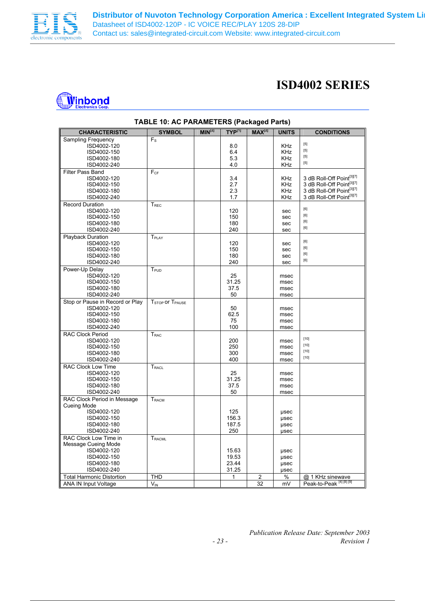

| Winbong          |
|------------------|
| lectronics Corp. |

| <b>CHARACTERISTIC</b>            | <b>SYMBOL</b>                           | MIN <sup>[2]</sup> | $TYP^{[1]}$  | $MAX^{[2]}$    | <b>UNITS</b> | <b>CONDITIONS</b>                                                                                                                                                                     |
|----------------------------------|-----------------------------------------|--------------------|--------------|----------------|--------------|---------------------------------------------------------------------------------------------------------------------------------------------------------------------------------------|
| <b>Sampling Frequency</b>        | $F_S$                                   |                    |              |                |              |                                                                                                                                                                                       |
| ISD4002-120                      |                                         |                    | 8.0          |                | <b>KHz</b>   | $[5]$                                                                                                                                                                                 |
| ISD4002-150                      |                                         |                    | 6.4          |                | <b>KHz</b>   | $[5]$                                                                                                                                                                                 |
| ISD4002-180                      |                                         |                    | 5.3          |                | <b>KHz</b>   | $[5] % \begin{center} \includegraphics[width=\linewidth]{imagesSupplemental/Imit} \caption{The image shows the image shows a single number of times.} \label{fig:limal} \end{center}$ |
| ISD4002-240                      |                                         |                    | 4.0          |                | KHz          | $[5]$                                                                                                                                                                                 |
| <b>Filter Pass Band</b>          | $F_{CF}$                                |                    |              |                |              |                                                                                                                                                                                       |
| ISD4002-120                      |                                         |                    | 3.4          |                | <b>KHz</b>   | 3 dB Roll-Off Point[3][7]                                                                                                                                                             |
| ISD4002-150                      |                                         |                    | 2.7          |                | <b>KHz</b>   | 3 dB Roll-Off Point[3][7]                                                                                                                                                             |
| ISD4002-180                      |                                         |                    | 2.3          |                | <b>KHz</b>   | 3 dB Roll-Off Point[3][7]                                                                                                                                                             |
| ISD4002-240                      |                                         |                    | 1.7          |                | <b>KHz</b>   | 3 dB Roll-Off Point[3][7]                                                                                                                                                             |
| <b>Record Duration</b>           | $T_{REC}$                               |                    |              |                |              |                                                                                                                                                                                       |
| ISD4002-120                      |                                         |                    | 120          |                | sec          | $\left[ 6\right]$                                                                                                                                                                     |
| ISD4002-150                      |                                         |                    | 150          |                | sec          | [6]                                                                                                                                                                                   |
| ISD4002-180                      |                                         |                    | 180          |                | sec          | [6]                                                                                                                                                                                   |
| ISD4002-240                      |                                         |                    | 240          |                |              | [6]                                                                                                                                                                                   |
|                                  |                                         |                    |              |                | sec          |                                                                                                                                                                                       |
| <b>Playback Duration</b>         | T <sub>PLAY</sub>                       |                    | 120          |                |              | [6]                                                                                                                                                                                   |
| ISD4002-120                      |                                         |                    |              |                | sec          | [6]                                                                                                                                                                                   |
| ISD4002-150                      |                                         |                    | 150          |                | sec          | [6]                                                                                                                                                                                   |
| ISD4002-180                      |                                         |                    | 180          |                | sec          | [6]                                                                                                                                                                                   |
| ISD4002-240                      |                                         |                    | 240          |                | sec          |                                                                                                                                                                                       |
| Power-Up Delay                   | $T_{\scriptsize{\text{PUD}}}$           |                    |              |                |              |                                                                                                                                                                                       |
| ISD4002-120                      |                                         |                    | 25           |                | msec         |                                                                                                                                                                                       |
| ISD4002-150                      |                                         |                    | 31.25        |                | msec         |                                                                                                                                                                                       |
| ISD4002-180                      |                                         |                    | 37.5         |                | msec         |                                                                                                                                                                                       |
| ISD4002-240                      |                                         |                    | 50           |                | msec         |                                                                                                                                                                                       |
| Stop or Pause in Record or Play  | T <sub>STOP</sub> or T <sub>PAUSE</sub> |                    |              |                |              |                                                                                                                                                                                       |
| ISD4002-120                      |                                         |                    | 50           |                | msec         |                                                                                                                                                                                       |
| ISD4002-150                      |                                         |                    | 62.5         |                | msec         |                                                                                                                                                                                       |
| ISD4002-180                      |                                         |                    | 75           |                | msec         |                                                                                                                                                                                       |
| ISD4002-240                      |                                         |                    | 100          |                | msec         |                                                                                                                                                                                       |
| <b>RAC Clock Period</b>          | T <sub>RAC</sub>                        |                    |              |                |              |                                                                                                                                                                                       |
| ISD4002-120                      |                                         |                    | 200          |                | msec         | $[10]$                                                                                                                                                                                |
| ISD4002-150                      |                                         |                    | 250          |                | msec         | $[10]$                                                                                                                                                                                |
| ISD4002-180                      |                                         |                    | 300          |                | msec         | $[10]$                                                                                                                                                                                |
| ISD4002-240                      |                                         |                    | 400          |                | msec         | $[10]$                                                                                                                                                                                |
| <b>RAC Clock Low Time</b>        | $T_{\sf RACL}$                          |                    |              |                |              |                                                                                                                                                                                       |
| ISD4002-120                      |                                         |                    | 25           |                | msec         |                                                                                                                                                                                       |
| ISD4002-150                      |                                         |                    | 31.25        |                | msec         |                                                                                                                                                                                       |
| ISD4002-180                      |                                         |                    | 37.5         |                | msec         |                                                                                                                                                                                       |
| ISD4002-240                      |                                         |                    | 50           |                | msec         |                                                                                                                                                                                       |
| RAC Clock Period in Message      | ${\mathsf T}_{\mathsf{RACM}}$           |                    |              |                |              |                                                                                                                                                                                       |
| Cueing Mode                      |                                         |                    |              |                |              |                                                                                                                                                                                       |
| ISD4002-120                      |                                         |                    | 125          |                | usec         |                                                                                                                                                                                       |
| ISD4002-150                      |                                         |                    | 156.3        |                | usec         |                                                                                                                                                                                       |
| ISD4002-180                      |                                         |                    | 187.5        |                | usec         |                                                                                                                                                                                       |
| ISD4002-240                      |                                         |                    | 250          |                | usec         |                                                                                                                                                                                       |
| RAC Clock Low Time in            | T <sub>RACML</sub>                      |                    |              |                |              |                                                                                                                                                                                       |
| Message Cueing Mode              |                                         |                    |              |                |              |                                                                                                                                                                                       |
| ISD4002-120                      |                                         |                    | 15.63        |                | usec         |                                                                                                                                                                                       |
| ISD4002-150                      |                                         |                    | 19.53        |                | usec         |                                                                                                                                                                                       |
| ISD4002-180                      |                                         |                    | 23.44        |                | usec         |                                                                                                                                                                                       |
| ISD4002-240                      |                                         |                    | 31.25        |                | usec         |                                                                                                                                                                                       |
| <b>Total Harmonic Distortion</b> | THD                                     |                    | $\mathbf{1}$ | $\overline{2}$ | %            | @ 1 KHz sinewave                                                                                                                                                                      |
| <b>ANA IN Input Voltage</b>      | $V_{IN}$                                |                    |              | 32             | mV           | Peak-to-Peak [4] [8] [9]                                                                                                                                                              |
|                                  |                                         |                    |              |                |              |                                                                                                                                                                                       |

#### **TABLE 10: AC PARAMETERS (Packaged Parts)**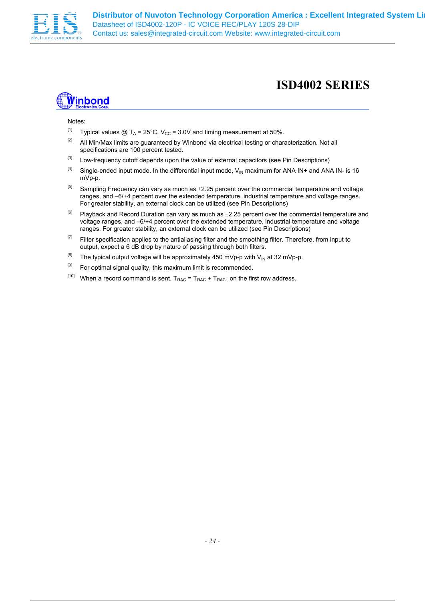

## **i**inbond

#### Notes:

- <sup>[1]</sup> Typical values @ T<sub>A</sub> = 25°C, V<sub>CC</sub> = 3.0V and timing measurement at 50%.
- <sup>[2]</sup> All Min/Max limits are guaranteed by Winbond via electrical testing or characterization. Not all specifications are 100 percent tested.
- <sup>[3]</sup> Low-frequency cutoff depends upon the value of external capacitors (see Pin Descriptions)
- <sup>[4]</sup> Single-ended input mode. In the differential input mode,  $V_{IN}$  maximum for ANA IN+ and ANA IN- is 16 mVp-p.
- <sup>[5]</sup> Sampling Frequency can vary as much as  $\pm$ 2.25 percent over the commercial temperature and voltage ranges, and –6/+4 percent over the extended temperature, industrial temperature and voltage ranges. For greater stability, an external clock can be utilized (see Pin Descriptions)
- $[6]$  Playback and Record Duration can vary as much as  $\pm 2.25$  percent over the commercial temperature and voltage ranges, and –6/+4 percent over the extended temperature, industrial temperature and voltage ranges. For greater stability, an external clock can be utilized (see Pin Descriptions)
- <sup>[7]</sup> Filter specification applies to the antialiasing filter and the smoothing filter. Therefore, from input to output, expect a 6 dB drop by nature of passing through both filters.
- $[8]$  The typical output voltage will be approximately 450 mVp-p with V<sub>IN</sub> at 32 mVp-p.
- $[9]$  For optimal signal quality, this maximum limit is recommended.
- <sup>[10]</sup> When a record command is sent,  $T_{RAC} = T_{RAC} + T_{RACL}$  on the first row address.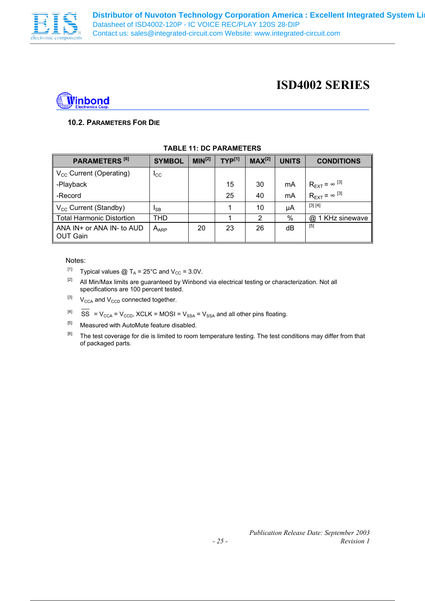



### **10.2. PARAMETERS FOR DIE**

| PARAMETERS <sup>[6]</sup>                        | <b>SYMBOL</b>   | MIN <sup>[2]</sup> | $TYP^{[1]}$ | $MAX^{[2]}$ | <b>UNITS</b> | <b>CONDITIONS</b>                          |
|--------------------------------------------------|-----------------|--------------------|-------------|-------------|--------------|--------------------------------------------|
| $V_{\text{CC}}$ Current (Operating)              | $_{\rm{LCC}}$   |                    |             |             |              |                                            |
| -Playback                                        |                 |                    | 15          | 30          | mA           | $R_{\text{EXT}}$ = $\infty$ <sup>[3]</sup> |
| -Record                                          |                 |                    | 25          | 40          | mA           | l $R_{\text{EXT}} = \infty^{[3]}$          |
| V <sub>cc</sub> Current (Standby)                | <sup>I</sup> SB |                    |             | 10          | μA           | [3] [4]                                    |
| <b>Total Harmonic Distortion</b>                 | THD             |                    |             | 2           | $\%$         | 1 KHz sinewave<br>@                        |
| ANA $IN+$ or ANA $IN-$ to AUD<br><b>OUT Gain</b> | $A_{APP}$       | 20                 | 23          | 26          | dВ           | $[5]$                                      |

#### **TABLE 11: DC PARAMETERS**

#### Notes:

- <sup>[1]</sup> Typical values @ T<sub>A</sub> = 25°C and V<sub>CC</sub> = 3.0V.
- [2] All Min/Max limits are guaranteed by Winbond via electrical testing or characterization. Not all specifications are 100 percent tested.
- $[3]$  V<sub>CCA</sub> and V<sub>CCD</sub> connected together.
- $[4]$  SS = V<sub>CCA</sub> = V<sub>CCD</sub>, XCLK = MOSI = V<sub>SSA</sub> = V<sub>SSA</sub> and all other pins floating.
- [5] Measured with AutoMute feature disabled.
- <sup>[6]</sup> The test coverage for die is limited to room temperature testing. The test conditions may differ from that of packaged parts.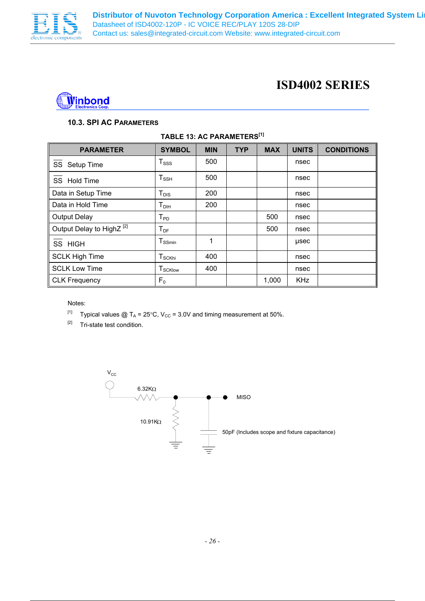



#### **10.3. SPI AC PARAMETERS**

| <b>PARAMETER</b>                     | <b>SYMBOL</b>                          | <b>MIN</b> | <b>TYP</b> | <b>MAX</b> | <b>UNITS</b> | <b>CONDITIONS</b> |
|--------------------------------------|----------------------------------------|------------|------------|------------|--------------|-------------------|
| SS Setup Time                        | $T_{\rm SSS}$                          | 500        |            |            | nsec         |                   |
| SS Hold Time                         | $T_{\scriptscriptstyle{\mathsf{SSH}}}$ | 500        |            |            | nsec         |                   |
| Data in Setup Time                   | $T_{DIS}$                              | 200        |            |            | nsec         |                   |
| Data in Hold Time                    | $T_{DH}$                               | 200        |            |            | nsec         |                   |
| <b>Output Delay</b>                  | ${\mathsf T}_{\mathsf{PD}}$            |            |            | 500        | nsec         |                   |
| Output Delay to HighZ <sup>[2]</sup> | $T_{DF}$                               |            |            | 500        | nsec         |                   |
| SS HIGH                              | $T_{SSmin}$                            | 1          |            |            | usec         |                   |
| <b>SCLK High Time</b>                | ${\mathsf T}_{\mathsf{SCKhi}}$         | 400        |            |            | nsec         |                   |
| <b>SCLK Low Time</b>                 | <b>T</b> <sub>SCKlow</sub>             | 400        |            |            | nsec         |                   |
| <b>CLK Frequency</b>                 | F <sub>0</sub>                         |            |            | 1,000      | <b>KHz</b>   |                   |

#### **TABLE 13: AC PARAMETERS[1]**

Notes:

- [1] Typical values  $\textcircled{2}$  T<sub>A</sub> = 25°C, V<sub>CC</sub> = 3.0V and timing measurement at 50%.
- [2] Tri-state test condition.

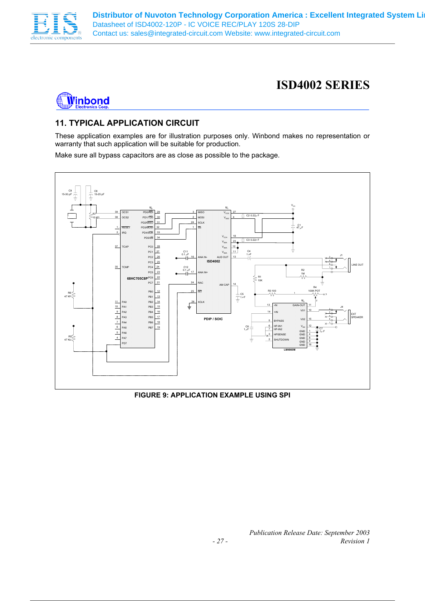



### **11. TYPICAL APPLICATION CIRCUIT**

These application examples are for illustration purposes only. Winbond makes no representation or warranty that such application will be suitable for production.

Make sure all bypass capacitors are as close as possible to the package.



### **FIGURE 9: APPLICATION EXAMPLE USING SPI**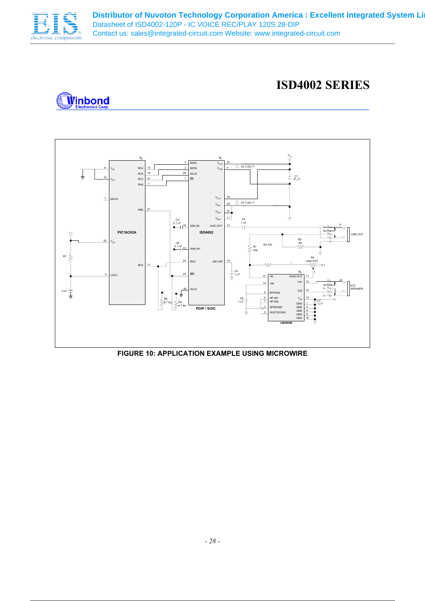

### **ISD4002 SERIES**





### **FIGURE 10: APPLICATION EXAMPLE USING MICROWIRE**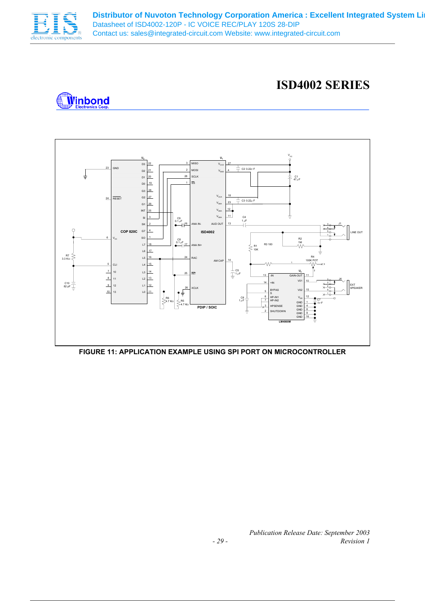

### **ISD4002 SERIES**





**FIGURE 11: APPLICATION EXAMPLE USING SPI PORT ON MICROCONTROLLER**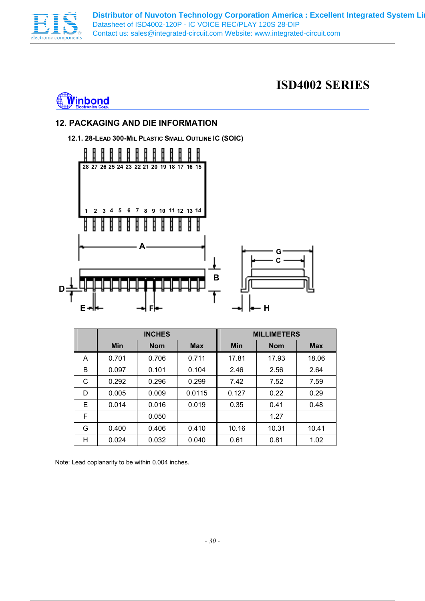



### **12. PACKAGING AND DIE INFORMATION**

**12.1. 28-LEAD 300-MIL PLASTIC SMALL OUTLINE IC (SOIC)** 



|   | <b>INCHES</b> |            |            |            | <b>MILLIMETERS</b> |            |
|---|---------------|------------|------------|------------|--------------------|------------|
|   | <b>Min</b>    | <b>Nom</b> | <b>Max</b> | <b>Min</b> | <b>Nom</b>         | <b>Max</b> |
| A | 0.701         | 0.706      | 0.711      | 17.81      | 17.93              | 18.06      |
| B | 0.097         | 0.101      | 0.104      | 2.46       | 2.56               | 2.64       |
| C | 0.292         | 0.296      | 0.299      | 7.42       | 7.52               | 7.59       |
| D | 0.005         | 0.009      | 0.0115     | 0.127      | 0.22               | 0.29       |
| Е | 0.014         | 0.016      | 0.019      | 0.35       | 0.41               | 0.48       |
| F |               | 0.050      |            |            | 1.27               |            |
| G | 0.400         | 0.406      | 0.410      | 10.16      | 10.31              | 10.41      |
| н | 0.024         | 0.032      | 0.040      | 0.61       | 0.81               | 1.02       |

Note: Lead coplanarity to be within 0.004 inches.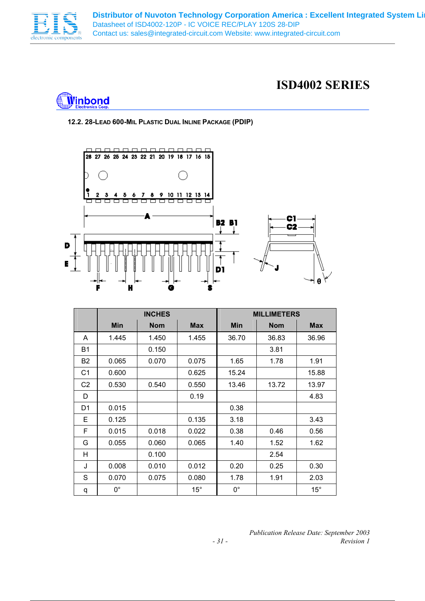



### **12.2. 28-LEAD 600-MIL PLASTIC DUAL INLINE PACKAGE (PDIP)**



|                | <b>INCHES</b> |            |            | <b>MILLIMETERS</b> |            |            |
|----------------|---------------|------------|------------|--------------------|------------|------------|
|                | <b>Min</b>    | <b>Nom</b> | <b>Max</b> | <b>Min</b>         | <b>Nom</b> | <b>Max</b> |
| A              | 1.445         | 1.450      | 1.455      | 36.70              | 36.83      | 36.96      |
| <b>B1</b>      |               | 0.150      |            |                    | 3.81       |            |
| B <sub>2</sub> | 0.065         | 0.070      | 0.075      | 1.65               | 1.78       | 1.91       |
| C <sub>1</sub> | 0.600         |            | 0.625      | 15.24              |            | 15.88      |
| C <sub>2</sub> | 0.530         | 0.540      | 0.550      | 13.46              | 13.72      | 13.97      |
| D              |               |            | 0.19       |                    |            | 4.83       |
| D1             | 0.015         |            |            | 0.38               |            |            |
| Е              | 0.125         |            | 0.135      | 3.18               |            | 3.43       |
| F              | 0.015         | 0.018      | 0.022      | 0.38               | 0.46       | 0.56       |
| G              | 0.055         | 0.060      | 0.065      | 1.40               | 1.52       | 1.62       |
| H              |               | 0.100      |            |                    | 2.54       |            |
| J              | 0.008         | 0.010      | 0.012      | 0.20               | 0.25       | 0.30       |
| S              | 0.070         | 0.075      | 0.080      | 1.78               | 1.91       | 2.03       |
| q              | $0^{\circ}$   |            | $15^\circ$ | $0^{\circ}$        |            | $15^\circ$ |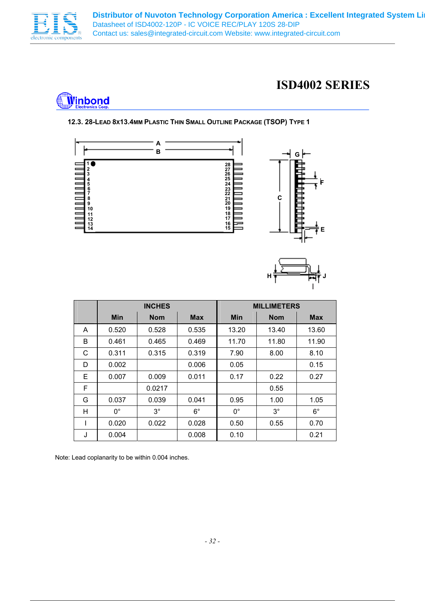

### **ISD4002 SERIES**



#### **12.3. 28-LEAD 8X13.4MM PLASTIC THIN SMALL OUTLINE PACKAGE (TSOP) TYPE 1**





|   | <b>INCHES</b> |            |             | <b>MILLIMETERS</b> |            |             |
|---|---------------|------------|-------------|--------------------|------------|-------------|
|   | <b>Min</b>    | <b>Nom</b> | <b>Max</b>  | <b>Min</b>         | <b>Nom</b> | <b>Max</b>  |
| A | 0.520         | 0.528      | 0.535       | 13.20              | 13.40      | 13.60       |
| B | 0.461         | 0.465      | 0.469       | 11.70              | 11.80      | 11.90       |
| C | 0.311         | 0.315      | 0.319       | 7.90               | 8.00       | 8.10        |
| D | 0.002         |            | 0.006       | 0.05               |            | 0.15        |
| Е | 0.007         | 0.009      | 0.011       | 0.17               | 0.22       | 0.27        |
| F |               | 0.0217     |             |                    | 0.55       |             |
| G | 0.037         | 0.039      | 0.041       | 0.95               | 1.00       | 1.05        |
| н | $0^{\circ}$   | $3^\circ$  | $6^{\circ}$ | $0^{\circ}$        | $3^\circ$  | $6^{\circ}$ |
|   | 0.020         | 0.022      | 0.028       | 0.50               | 0.55       | 0.70        |
| J | 0.004         |            | 0.008       | 0.10               |            | 0.21        |

Note: Lead coplanarity to be within 0.004 inches.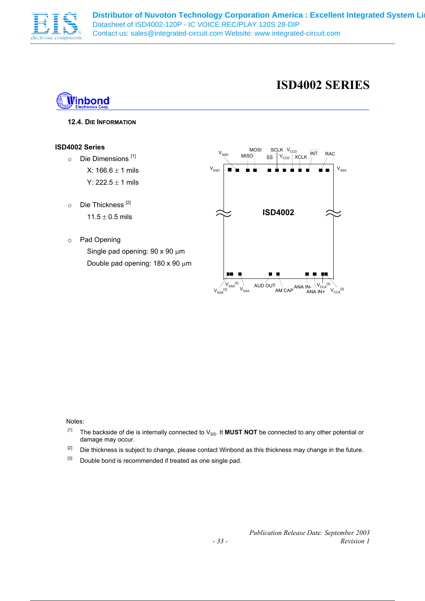

### **ISD4002 SERIES**



#### **12.4. DIE INFORMATION**

#### **ISD4002 Series**

- o Die Dimensions [1] X:  $166.6 \pm 1$  mils Y:  $222.5 \pm 1$  mils
- o Die Thickness<sup>[2]</sup>  $11.5 \pm 0.5$  mils
- o Pad Opening Single pad opening: 90 x 90  $\mu$ m Double pad opening: 180 x 90 µm



Notes:

- [1] The backside of die is internally connected to V<sub>SS</sub>. It **MUST NOT** be connected to any other potential or damage may occur.
- <sup>[2]</sup> Die thickness is subject to change, please contact Winbond as this thickness may change in the future.
- <sup>[3]</sup> Double bond is recommended if treated as one single pad.

*Publication Release Date: September 2003 - 33 - Revision 1*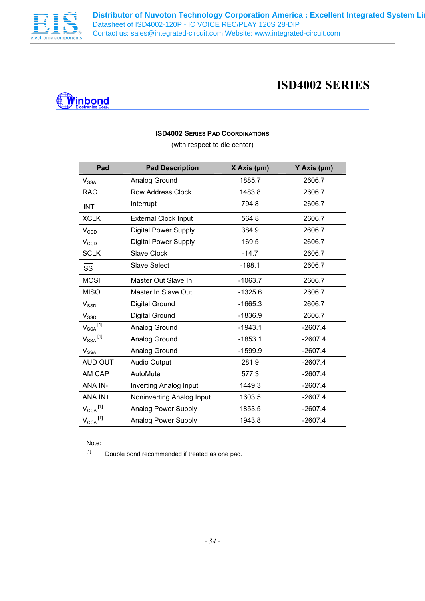



#### **ISD4002 SERIES PAD COORDINATIONS**

(with respect to die center)

| Pad                                          | <b>Pad Description</b>        | X Axis (µm) | Y Axis (µm) |  |
|----------------------------------------------|-------------------------------|-------------|-------------|--|
| $\mathsf{V}_{\mathsf{SSA}}$                  | Analog Ground                 | 1885.7      | 2606.7      |  |
| <b>RAC</b>                                   | <b>Row Address Clock</b>      | 1483.8      | 2606.7      |  |
| <b>INT</b>                                   | Interrupt                     | 794.8       | 2606.7      |  |
| <b>XCLK</b>                                  | <b>External Clock Input</b>   | 564.8       | 2606.7      |  |
| $V_{CCD}$                                    | <b>Digital Power Supply</b>   | 384.9       | 2606.7      |  |
| $V_{CCD}$                                    | Digital Power Supply          | 169.5       | 2606.7      |  |
| <b>SCLK</b>                                  | <b>Slave Clock</b>            | $-14.7$     | 2606.7      |  |
| <b>SS</b>                                    | <b>Slave Select</b>           | $-198.1$    | 2606.7      |  |
| <b>MOSI</b>                                  | Master Out Slave In           | $-1063.7$   | 2606.7      |  |
| <b>MISO</b>                                  | Master In Slave Out           | $-1325.6$   | 2606.7      |  |
| $V_{\text{SSD}}$                             | Digital Ground                | $-1665.3$   | 2606.7      |  |
| $V_\text{SSD}$                               | Digital Ground                | $-1836.9$   | 2606.7      |  |
| $V_{SSA}$ <sup>[1]</sup>                     | Analog Ground                 | $-1943.1$   | $-2607.4$   |  |
| $\mathsf{V}_{\mathsf{SSA}}{}^{\textsf{[1]}}$ | Analog Ground                 | $-1853.1$   | $-2607.4$   |  |
| <b>V<sub>SSA</sub></b>                       | Analog Ground                 | $-1599.9$   | $-2607.4$   |  |
| AUD OUT                                      | <b>Audio Output</b>           | 281.9       | $-2607.4$   |  |
| AM CAP                                       | AutoMute                      | 577.3       | $-2607.4$   |  |
| ANA IN-                                      | <b>Inverting Analog Input</b> | 1449.3      | $-2607.4$   |  |
| ANA IN+                                      | Noninverting Analog Input     | 1603.5      | $-2607.4$   |  |
| $V_{\rm CCA}^{\;\;[1]}$                      | <b>Analog Power Supply</b>    | 1853.5      | $-2607.4$   |  |
| $V_{\rm CCA}^{\quad [1]}$                    | <b>Analog Power Supply</b>    | 1943.8      | $-2607.4$   |  |

Note:

 $[1]$  Double bond recommended if treated as one pad.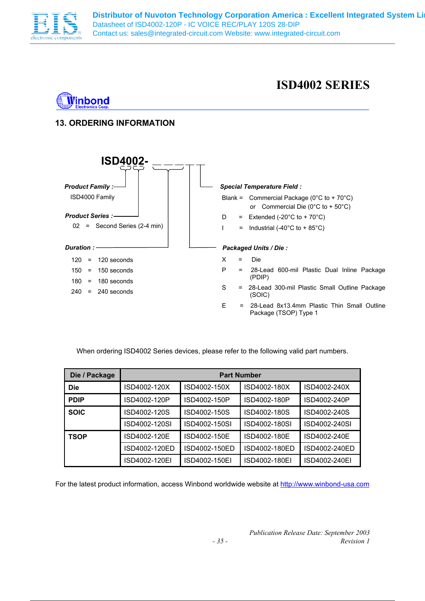

### **ISD4002 SERIES**



**i**inbond



When ordering ISD4002 Series devices, please refer to the following valid part numbers.

| Die / Package | <b>Part Number</b> |               |               |               |  |  |  |
|---------------|--------------------|---------------|---------------|---------------|--|--|--|
| <b>Die</b>    | ISD4002-120X       | ISD4002-150X  | ISD4002-180X  | ISD4002-240X  |  |  |  |
| <b>PDIP</b>   | ISD4002-120P       | ISD4002-150P  | ISD4002-180P  | ISD4002-240P  |  |  |  |
| <b>SOIC</b>   | ISD4002-120S       | ISD4002-150S  | ISD4002-180S  | ISD4002-240S  |  |  |  |
|               | ISD4002-120SI      | ISD4002-150SI | ISD4002-180SI | ISD4002-240SI |  |  |  |
| <b>TSOP</b>   | ISD4002-120E       | ISD4002-150E  | ISD4002-180E  | ISD4002-240E  |  |  |  |
|               | ISD4002-120ED      | ISD4002-150ED | ISD4002-180ED | ISD4002-240ED |  |  |  |
|               | ISD4002-120EI      | ISD4002-150EI | ISD4002-180EI | ISD4002-240EI |  |  |  |

For the latest product information, access Winbond worldwide website at http://www.winbond-usa.com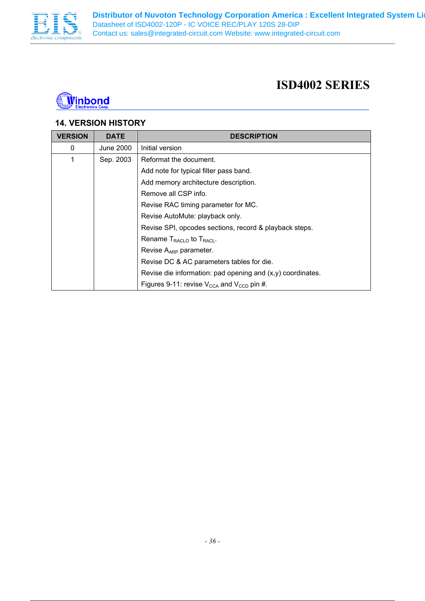



### **14. VERSION HISTORY**

| <b>VERSION</b> | <b>DATE</b> | <b>DESCRIPTION</b>                                                |
|----------------|-------------|-------------------------------------------------------------------|
| 0              | June 2000   | Initial version                                                   |
| 1              | Sep. 2003   | Reformat the document.                                            |
|                |             | Add note for typical filter pass band.                            |
|                |             | Add memory architecture description.                              |
|                |             | Remove all CSP info.                                              |
|                |             | Revise RAC timing parameter for MC.                               |
|                |             | Revise AutoMute: playback only.                                   |
|                |             | Revise SPI, opcodes sections, record & playback steps.            |
|                |             | Rename $T_{\text{RACLO}}$ to $T_{\text{RACLO}}$ .                 |
|                |             | Revise A <sub>ARP</sub> parameter.                                |
|                |             | Revise DC & AC parameters tables for die.                         |
|                |             | Revise die information: pad opening and $(x, y)$ coordinates.     |
|                |             | Figures 9-11: revise $V_{\text{CCA}}$ and $V_{\text{CCD}}$ pin #. |